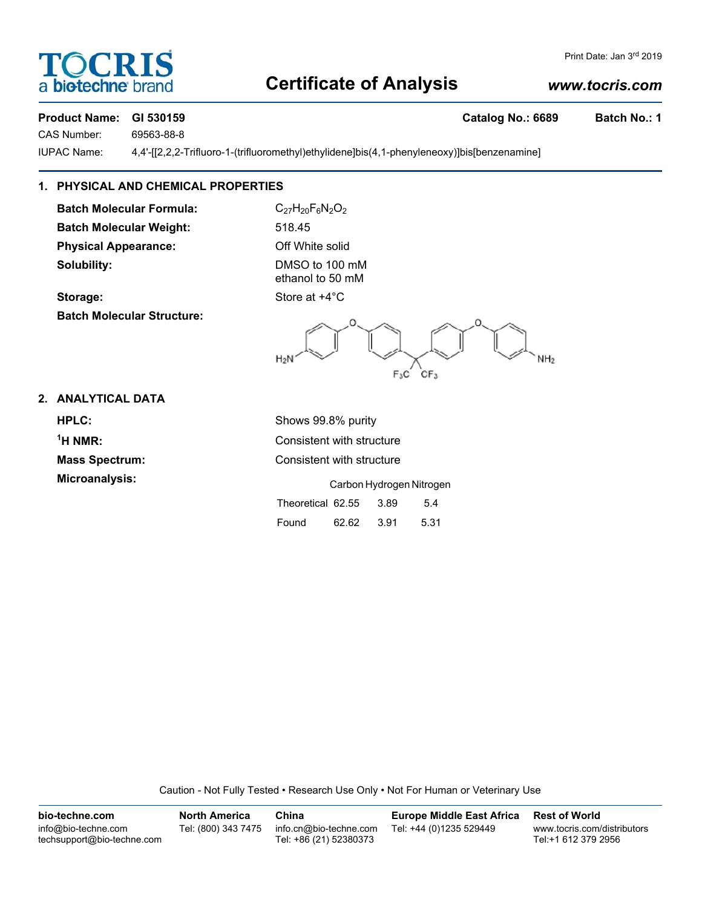# **OCRI** biotechne b

### Print Date: Jan 3rd 2019

## **Certificate of Analysis**

## *www.tocris.com*

## **Product Name: GI 530159 Catalog No.: 6689 Batch No.: 1** CAS Number: 69563-88-8

IUPAC Name: 4,4'-[[2,2,2-Trifluoro-1-(trifluoromethyl)ethylidene]bis(4,1-phenyleneoxy)]bis[benzenamine]

## **1. PHYSICAL AND CHEMICAL PROPERTIES**

**Batch Molecular Formula:** C<sub>27</sub>H<sub>20</sub>F<sub>6</sub>N<sub>2</sub>O<sub>2</sub> **Batch Molecular Weight:** 518.45 **Physical Appearance:** Off White solid **Solubility:** DMSO to 100 mM

**Batch Molecular Structure:**

ethanol to 50 mM

**Storage:** Store at  $+4^{\circ}$ C



## **2. ANALYTICAL DATA**

 $<sup>1</sup>H NMR$ :</sup>

**HPLC:** Shows 99.8% purity **Consistent with structure Mass Spectrum:** Consistent with structure **Microanalysis:** Carbon Hydrogen Nitrogen Theoretical 62.55 3.89 5.4 Found 62.62 3.91 5.31

Caution - Not Fully Tested • Research Use Only • Not For Human or Veterinary Use